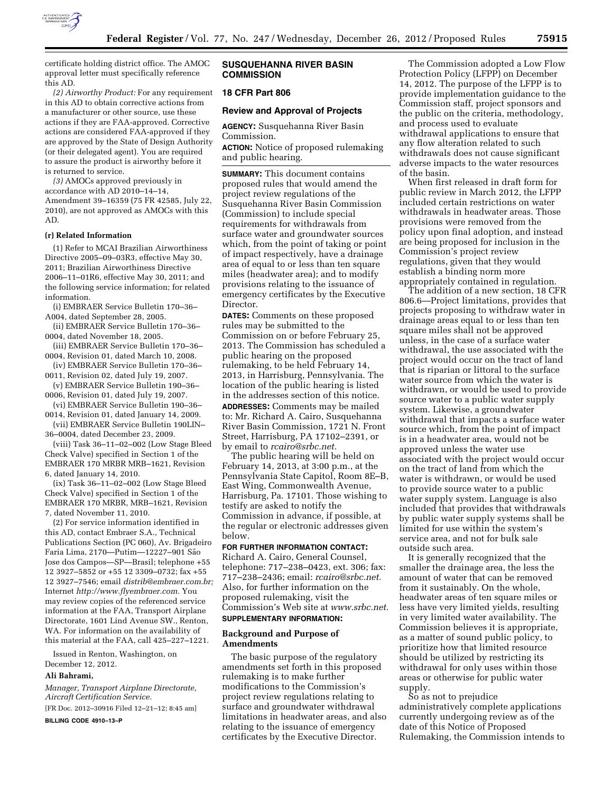

certificate holding district office. The AMOC approval letter must specifically reference this AD.

*(2) Airworthy Product:* For any requirement in this AD to obtain corrective actions from a manufacturer or other source, use these actions if they are FAA-approved. Corrective actions are considered FAA-approved if they are approved by the State of Design Authority (or their delegated agent). You are required to assure the product is airworthy before it is returned to service.

*(3)* AMOCs approved previously in accordance with AD 2010–14–14, Amendment 39–16359 (75 FR 42585, July 22, 2010), are not approved as AMOCs with this AD.

### **(r) Related Information**

(1) Refer to MCAI Brazilian Airworthiness Directive 2005–09–03R3, effective May 30, 2011; Brazilian Airworthiness Directive 2006–11–01R6, effective May 30, 2011; and the following service information; for related information.

(i) EMBRAER Service Bulletin 170–36– A004, dated September 28, 2005.

- (ii) EMBRAER Service Bulletin 170–36– 0004, dated November 18, 2005.
- (iii) EMBRAER Service Bulletin 170–36– 0004, Revision 01, dated March 10, 2008.
- (iv) EMBRAER Service Bulletin 170–36– 0011, Revision 02, dated July 19, 2007.
- (v) EMBRAER Service Bulletin 190–36– 0006, Revision 01, dated July 19, 2007.

(vi) EMBRAER Service Bulletin 190–36– 0014, Revision 01, dated January 14, 2009.

(vii) EMBRAER Service Bulletin 190LIN– 36–0004, dated December 23, 2009.

(viii) Task 36–11–02–002 (Low Stage Bleed Check Valve) specified in Section 1 of the EMBRAER 170 MRBR MRB–1621, Revision 6, dated January 14, 2010.

(ix) Task 36–11–02–002 (Low Stage Bleed Check Valve) specified in Section 1 of the EMBRAER 170 MRBR, MRB–1621, Revision 7, dated November 11, 2010.

(2) For service information identified in this AD, contact Embraer S.A., Technical Publications Section (PC 060), Av. Brigadeiro Faria Lima, 2170-Putim-12227-901 São Jose dos Campos—SP—Brasil; telephone +55 12 3927–5852 or +55 12 3309–0732; fax +55 12 3927–7546; email *[distrib@embraer.com.br;](mailto:distrib@embraer.com.br)*  Internet *[http://www.flyembraer.com.](http://www.flyembraer.com)* You may review copies of the referenced service information at the FAA, Transport Airplane Directorate, 1601 Lind Avenue SW., Renton, WA. For information on the availability of this material at the FAA, call 425–227–1221.

Issued in Renton, Washington, on December 12, 2012.

#### **Ali Bahrami,**

*Manager, Transport Airplane Directorate, Aircraft Certification Service.*  [FR Doc. 2012–30916 Filed 12–21–12; 8:45 am] **BILLING CODE 4910–13–P** 

### **SUSQUEHANNA RIVER BASIN COMMISSION**

## **18 CFR Part 806**

### **Review and Approval of Projects**

**AGENCY:** Susquehanna River Basin Commission.

**ACTION:** Notice of proposed rulemaking and public hearing.

**SUMMARY:** This document contains proposed rules that would amend the project review regulations of the Susquehanna River Basin Commission (Commission) to include special requirements for withdrawals from surface water and groundwater sources which, from the point of taking or point of impact respectively, have a drainage area of equal to or less than ten square miles (headwater area); and to modify provisions relating to the issuance of emergency certificates by the Executive Director.

**DATES:** Comments on these proposed rules may be submitted to the Commission on or before February 25, 2013. The Commission has scheduled a public hearing on the proposed rulemaking, to be held February 14, 2013, in Harrisburg, Pennsylvania. The location of the public hearing is listed in the addresses section of this notice. **ADDRESSES:** Comments may be mailed to: Mr. Richard A. Cairo, Susquehanna River Basin Commission, 1721 N. Front Street, Harrisburg, PA 17102–2391, or by email to *[rcairo@srbc.net.](mailto:rcairo@srbc.net)* 

The public hearing will be held on February 14, 2013, at 3:00 p.m., at the Pennsylvania State Capitol, Room 8E–B, East Wing, Commonwealth Avenue, Harrisburg, Pa. 17101. Those wishing to testify are asked to notify the Commission in advance, if possible, at the regular or electronic addresses given below.

## **FOR FURTHER INFORMATION CONTACT:**

Richard A. Cairo, General Counsel, telephone: 717–238–0423, ext. 306; fax: 717–238–2436; email: *[rcairo@srbc.net.](mailto:rcairo@srbc.net)*  Also, for further information on the proposed rulemaking, visit the Commission's Web site at *[www.srbc.net.](http://www.srbc.net)*  **SUPPLEMENTARY INFORMATION:** 

#### **Background and Purpose of Amendments**

The basic purpose of the regulatory amendments set forth in this proposed rulemaking is to make further modifications to the Commission's project review regulations relating to surface and groundwater withdrawal limitations in headwater areas, and also relating to the issuance of emergency certificates by the Executive Director.

The Commission adopted a Low Flow Protection Policy (LFPP) on December 14, 2012. The purpose of the LFPP is to provide implementation guidance to the Commission staff, project sponsors and the public on the criteria, methodology, and process used to evaluate withdrawal applications to ensure that any flow alteration related to such withdrawals does not cause significant adverse impacts to the water resources of the basin.

When first released in draft form for public review in March 2012, the LFPP included certain restrictions on water withdrawals in headwater areas. Those provisions were removed from the policy upon final adoption, and instead are being proposed for inclusion in the Commission's project review regulations, given that they would establish a binding norm more appropriately contained in regulation.

The addition of a new section, 18 CFR 806.6—Project limitations, provides that projects proposing to withdraw water in drainage areas equal to or less than ten square miles shall not be approved unless, in the case of a surface water withdrawal, the use associated with the project would occur on the tract of land that is riparian or littoral to the surface water source from which the water is withdrawn, or would be used to provide source water to a public water supply system. Likewise, a groundwater withdrawal that impacts a surface water source which, from the point of impact is in a headwater area, would not be approved unless the water use associated with the project would occur on the tract of land from which the water is withdrawn, or would be used to provide source water to a public water supply system. Language is also included that provides that withdrawals by public water supply systems shall be limited for use within the system's service area, and not for bulk sale outside such area.

It is generally recognized that the smaller the drainage area, the less the amount of water that can be removed from it sustainably. On the whole, headwater areas of ten square miles or less have very limited yields, resulting in very limited water availability. The Commission believes it is appropriate, as a matter of sound public policy, to prioritize how that limited resource should be utilized by restricting its withdrawal for only uses within those areas or otherwise for public water supply.

So as not to prejudice administratively complete applications currently undergoing review as of the date of this Notice of Proposed Rulemaking, the Commission intends to